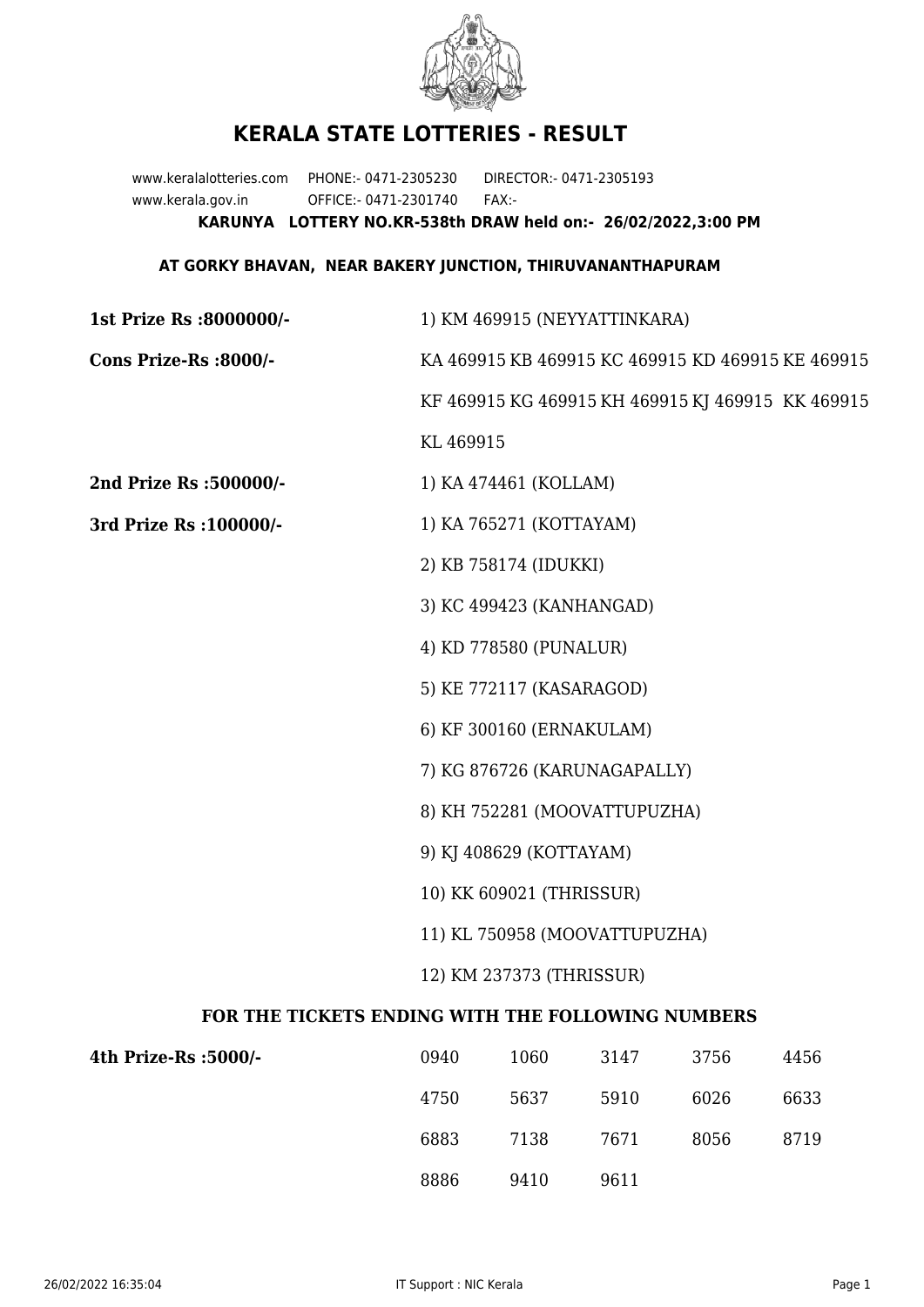

## **KERALA STATE LOTTERIES - RESULT**

www.keralalotteries.com PHONE:- 0471-2305230 DIRECTOR:- 0471-2305193 www.kerala.gov.in OFFICE:- 0471-2301740 FAX:- **KARUNYA LOTTERY NO.KR-538th DRAW held on:- 26/02/2022,3:00 PM**

## **AT GORKY BHAVAN, NEAR BAKERY JUNCTION, THIRUVANANTHAPURAM**

| 1st Prize Rs :8000000/-                           | 1) KM 469915 (NEYYATTINKARA)                      |                       |      |      |                                                   |  |
|---------------------------------------------------|---------------------------------------------------|-----------------------|------|------|---------------------------------------------------|--|
| Cons Prize-Rs :8000/-                             | KA 469915 KB 469915 KC 469915 KD 469915 KE 469915 |                       |      |      |                                                   |  |
|                                                   |                                                   |                       |      |      | KF 469915 KG 469915 KH 469915 KJ 469915 KK 469915 |  |
|                                                   | KL 469915                                         |                       |      |      |                                                   |  |
| 2nd Prize Rs :500000/-                            |                                                   | 1) KA 474461 (KOLLAM) |      |      |                                                   |  |
| 3rd Prize Rs : 100000/-                           | 1) KA 765271 (KOTTAYAM)                           |                       |      |      |                                                   |  |
|                                                   |                                                   | 2) KB 758174 (IDUKKI) |      |      |                                                   |  |
|                                                   | 3) KC 499423 (KANHANGAD)                          |                       |      |      |                                                   |  |
|                                                   | 4) KD 778580 (PUNALUR)                            |                       |      |      |                                                   |  |
|                                                   | 5) KE 772117 (KASARAGOD)                          |                       |      |      |                                                   |  |
|                                                   | 6) KF 300160 (ERNAKULAM)                          |                       |      |      |                                                   |  |
|                                                   | 7) KG 876726 (KARUNAGAPALLY)                      |                       |      |      |                                                   |  |
|                                                   | 8) KH 752281 (MOOVATTUPUZHA)                      |                       |      |      |                                                   |  |
|                                                   | 9) KJ 408629 (KOTTAYAM)                           |                       |      |      |                                                   |  |
|                                                   | 10) KK 609021 (THRISSUR)                          |                       |      |      |                                                   |  |
|                                                   | 11) KL 750958 (MOOVATTUPUZHA)                     |                       |      |      |                                                   |  |
|                                                   | 12) KM 237373 (THRISSUR)                          |                       |      |      |                                                   |  |
| FOR THE TICKETS ENDING WITH THE FOLLOWING NUMBERS |                                                   |                       |      |      |                                                   |  |
| 4th Prize-Rs :5000/-                              | 0940                                              | 1060                  | 3147 | 3756 | 4456                                              |  |
|                                                   | 4750                                              | 5637                  | 5910 | 6026 | 6633                                              |  |
|                                                   |                                                   |                       |      |      |                                                   |  |

8886 9410 9611

6883 7138 7671 8056 8719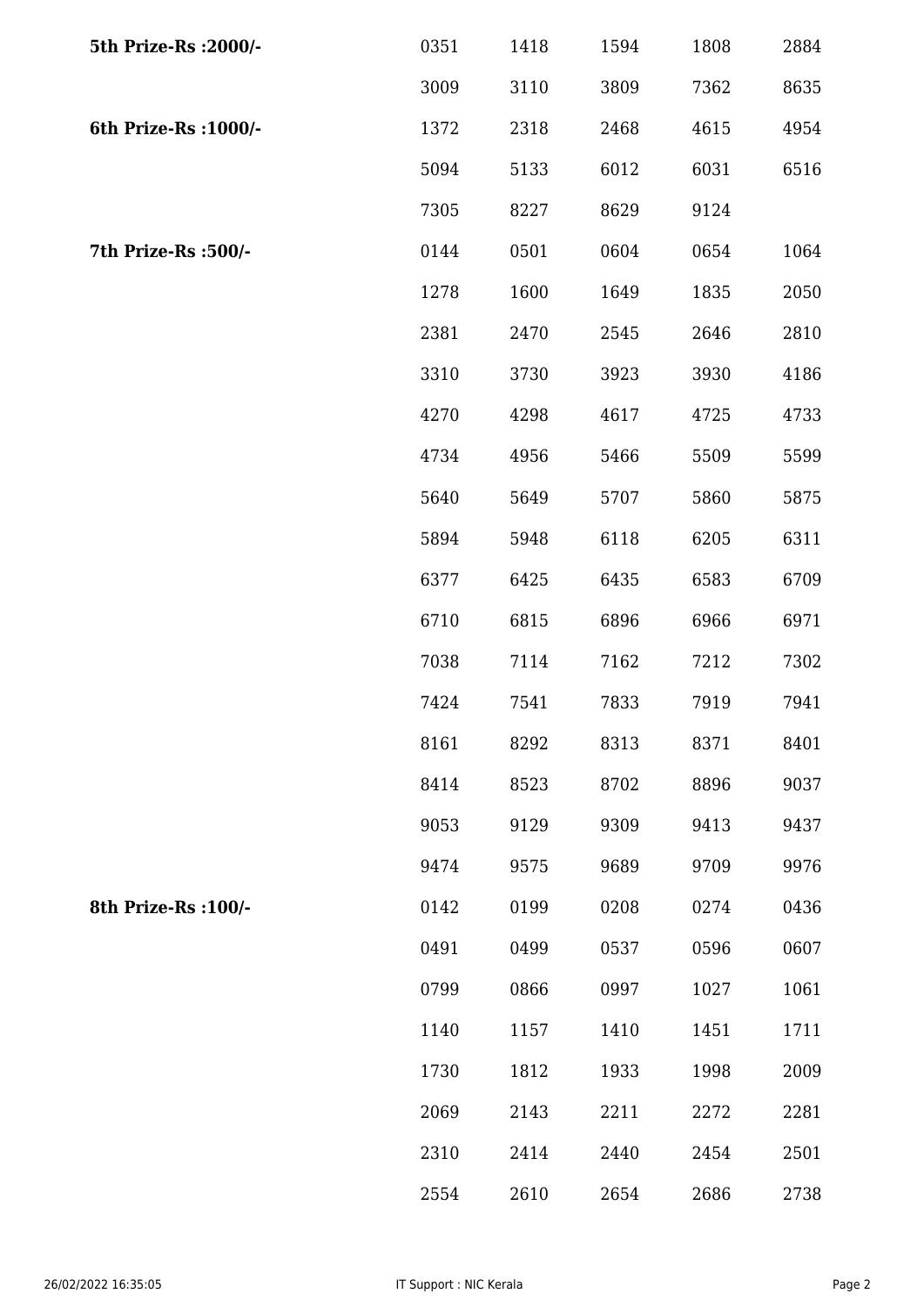| 5th Prize-Rs : 2000/- | 0351 | 1418 | 1594 | 1808 | 2884 |
|-----------------------|------|------|------|------|------|
|                       | 3009 | 3110 | 3809 | 7362 | 8635 |
| 6th Prize-Rs : 1000/- | 1372 | 2318 | 2468 | 4615 | 4954 |
|                       | 5094 | 5133 | 6012 | 6031 | 6516 |
|                       | 7305 | 8227 | 8629 | 9124 |      |
| 7th Prize-Rs : 500/-  | 0144 | 0501 | 0604 | 0654 | 1064 |
|                       | 1278 | 1600 | 1649 | 1835 | 2050 |
|                       | 2381 | 2470 | 2545 | 2646 | 2810 |
|                       | 3310 | 3730 | 3923 | 3930 | 4186 |
|                       | 4270 | 4298 | 4617 | 4725 | 4733 |
|                       | 4734 | 4956 | 5466 | 5509 | 5599 |
|                       | 5640 | 5649 | 5707 | 5860 | 5875 |
|                       | 5894 | 5948 | 6118 | 6205 | 6311 |
|                       | 6377 | 6425 | 6435 | 6583 | 6709 |
|                       | 6710 | 6815 | 6896 | 6966 | 6971 |
|                       | 7038 | 7114 | 7162 | 7212 | 7302 |
|                       | 7424 | 7541 | 7833 | 7919 | 7941 |
|                       | 8161 | 8292 | 8313 | 8371 | 8401 |
|                       | 8414 | 8523 | 8702 | 8896 | 9037 |
|                       | 9053 | 9129 | 9309 | 9413 | 9437 |
|                       | 9474 | 9575 | 9689 | 9709 | 9976 |
| 8th Prize-Rs : 100/-  | 0142 | 0199 | 0208 | 0274 | 0436 |
|                       | 0491 | 0499 | 0537 | 0596 | 0607 |
|                       | 0799 | 0866 | 0997 | 1027 | 1061 |
|                       | 1140 | 1157 | 1410 | 1451 | 1711 |
|                       | 1730 | 1812 | 1933 | 1998 | 2009 |
|                       | 2069 | 2143 | 2211 | 2272 | 2281 |
|                       | 2310 | 2414 | 2440 | 2454 | 2501 |
|                       | 2554 | 2610 | 2654 | 2686 | 2738 |